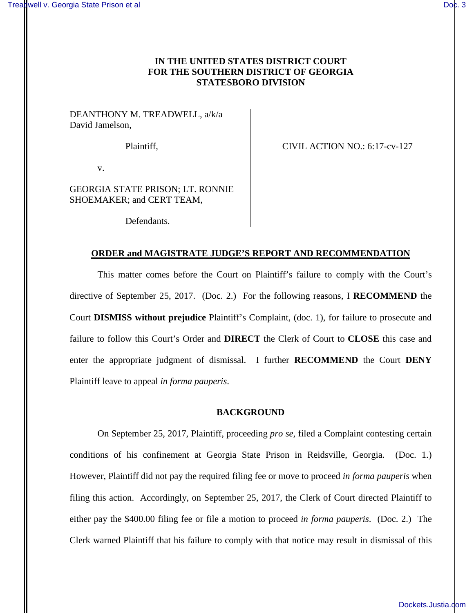# **IN THE UNITED STATES DISTRICT COURT FOR THE SOUTHERN DISTRICT OF GEORGIA STATESBORO DIVISION**

DEANTHONY M. TREADWELL, a/k/a David Jamelson,

Plaintiff,  $CIVIL$  ACTION NO.: 6:17-cv-127

v.

GEORGIA STATE PRISON; LT. RONNIE SHOEMAKER; and CERT TEAM,

Defendants.

# **ORDER and MAGISTRATE JUDGE'S REPORT AND RECOMMENDATION**

This matter comes before the Court on Plaintiff's failure to comply with the Court's directive of September 25, 2017. (Doc. 2.) For the following reasons, I **RECOMMEND** the Court **DISMISS without prejudice** Plaintiff's Complaint, (doc. 1), for failure to prosecute and failure to follow this Court's Order and **DIRECT** the Clerk of Court to **CLOSE** this case and enter the appropriate judgment of dismissal. I further **RECOMMEND** the Court **DENY** Plaintiff leave to appeal *in forma pauperis*.

#### **BACKGROUND**

On September 25, 2017, Plaintiff, proceeding *pro se*, filed a Complaint contesting certain conditions of his confinement at Georgia State Prison in Reidsville, Georgia. (Doc. 1.) However, Plaintiff did not pay the required filing fee or move to proceed *in forma pauperis* when filing this action. Accordingly, on September 25, 2017, the Clerk of Court directed Plaintiff to either pay the \$400.00 filing fee or file a motion to proceed *in forma pauperis*. (Doc. 2.) The Clerk warned Plaintiff that his failure to comply with that notice may result in dismissal of this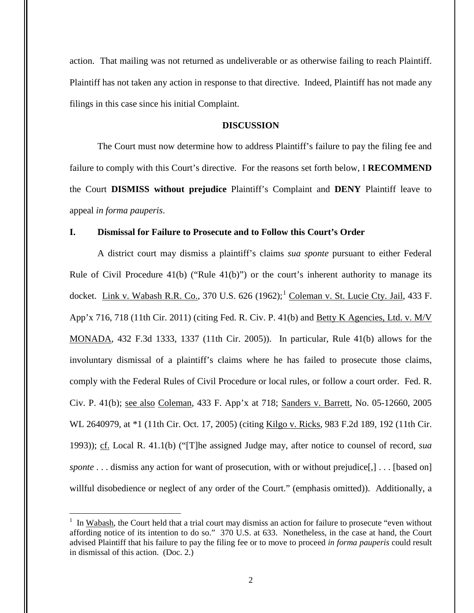action. That mailing was not returned as undeliverable or as otherwise failing to reach Plaintiff. Plaintiff has not taken any action in response to that directive. Indeed, Plaintiff has not made any filings in this case since his initial Complaint.

## **DISCUSSION**

The Court must now determine how to address Plaintiff's failure to pay the filing fee and failure to comply with this Court's directive. For the reasons set forth below, I **RECOMMEND** the Court **DISMISS without prejudice** Plaintiff's Complaint and **DENY** Plaintiff leave to appeal *in forma pauperis*.

# **I. Dismissal for Failure to Prosecute and to Follow this Court's Order**

A district court may dismiss a plaintiff's claims *sua sponte* pursuant to either Federal Rule of Civil Procedure  $41(b)$  ("Rule  $41(b)$ ") or the court's inherent authority to manage its docket. Link v. Wabash R.R. Co., 370 U.S.  $626 (1962);^1$  Coleman v. St. Lucie Cty. Jail, 433 F. App'x 716, 718 (11th Cir. 2011) (citing Fed. R. Civ. P. 41(b) and <u>Betty K Agencies, Ltd. v. M/V</u> MONADA, 432 F.3d 1333, 1337 (11th Cir. 2005)). In particular, Rule 41(b) allows for the involuntary dismissal of a plaintiff's claims where he has failed to prosecute those claims, comply with the Federal Rules of Civil Procedure or local rules, or follow a court order. Fed. R. Civ. P. 41(b); see also Coleman, 433 F. App'x at 718; Sanders v. Barrett, No. 05-12660, 2005 WL 2640979, at \*1 (11th Cir. Oct. 17, 2005) (citing Kilgo v. Ricks, 983 F.2d 189, 192 (11th Cir. 1993)); cf. Local R. 41.1(b) ("[T]he assigned Judge may, after notice to counsel of record, *sua sponte* . . . dismiss any action for want of prosecution, with or without prejudice[,] . . . [based on] willful disobedience or neglect of any order of the Court." (emphasis omitted)). Additionally, a

 $\overline{a}$ 

 $1$  In Wabash, the Court held that a trial court may dismiss an action for failure to prosecute "even without affording notice of its intention to do so." 370 U.S. at 633. Nonetheless, in the case at hand, the Court advised Plaintiff that his failure to pay the filing fee or to move to proceed *in forma pauperis* could result in dismissal of this action. (Doc. 2.)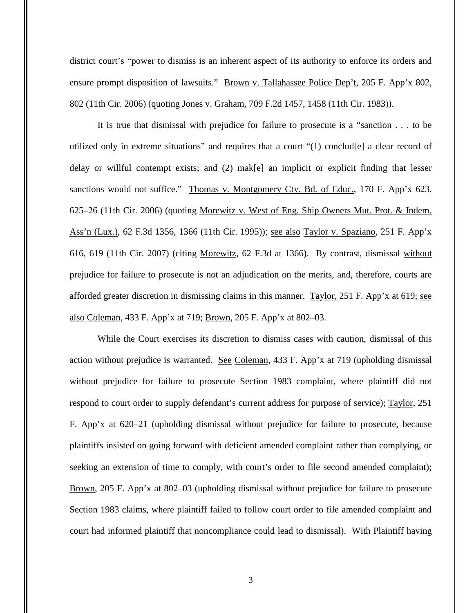district court's "power to dismiss is an inherent aspect of its authority to enforce its orders and ensure prompt disposition of lawsuits." Brown v. Tallahassee Police Dep't, 205 F. App'x 802, 802 (11th Cir. 2006) (quoting Jones v. Graham, 709 F.2d 1457, 1458 (11th Cir. 1983)).

It is true that dismissal with prejudice for failure to prosecute is a "sanction . . . to be utilized only in extreme situations" and requires that a court "(1) conclud[e] a clear record of delay or willful contempt exists; and (2) mak[e] an implicit or explicit finding that lesser sanctions would not suffice." Thomas v. Montgomery Cty. Bd. of Educ., 170 F. App'x 623, 625–26 (11th Cir. 2006) (quoting Morewitz v. West of Eng. Ship Owners Mut. Prot. & Indem. Ass'n (Lux.), 62 F.3d 1356, 1366 (11th Cir. 1995)); see also Taylor v. Spaziano, 251 F. App'x 616, 619 (11th Cir. 2007) (citing Morewitz, 62 F.3d at 1366). By contrast, dismissal without prejudice for failure to prosecute is not an adjudication on the merits, and, therefore, courts are afforded greater discretion in dismissing claims in this manner. Taylor, 251 F. App'x at 619; see also Coleman, 433 F. App'x at 719; Brown, 205 F. App'x at 802–03.

While the Court exercises its discretion to dismiss cases with caution, dismissal of this action without prejudice is warranted. See Coleman, 433 F. App'x at 719 (upholding dismissal without prejudice for failure to prosecute Section 1983 complaint, where plaintiff did not respond to court order to supply defendant's current address for purpose of service); Taylor, 251 F. App'x at 620–21 (upholding dismissal without prejudice for failure to prosecute, because plaintiffs insisted on going forward with deficient amended complaint rather than complying, or seeking an extension of time to comply, with court's order to file second amended complaint); Brown, 205 F. App'x at 802–03 (upholding dismissal without prejudice for failure to prosecute Section 1983 claims, where plaintiff failed to follow court order to file amended complaint and court had informed plaintiff that noncompliance could lead to dismissal). With Plaintiff having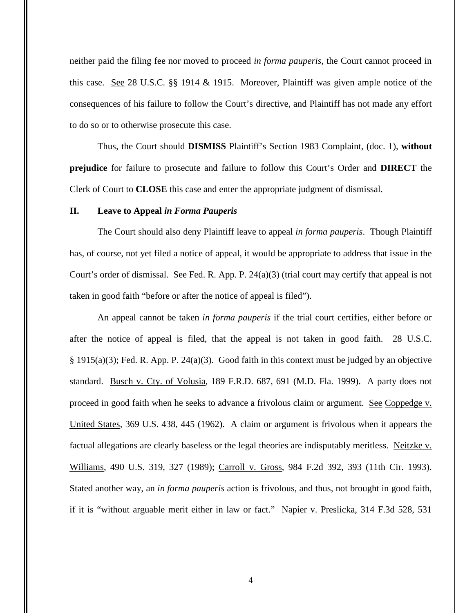neither paid the filing fee nor moved to proceed *in forma pauperis*, the Court cannot proceed in this case. See 28 U.S.C. §§ 1914 & 1915. Moreover, Plaintiff was given ample notice of the consequences of his failure to follow the Court's directive, and Plaintiff has not made any effort to do so or to otherwise prosecute this case.

Thus, the Court should **DISMISS** Plaintiff's Section 1983 Complaint, (doc. 1), **without prejudice** for failure to prosecute and failure to follow this Court's Order and **DIRECT** the Clerk of Court to **CLOSE** this case and enter the appropriate judgment of dismissal.

## **II. Leave to Appeal** *in Forma Pauperis*

The Court should also deny Plaintiff leave to appeal *in forma pauperis*. Though Plaintiff has, of course, not yet filed a notice of appeal, it would be appropriate to address that issue in the Court's order of dismissal. See Fed. R. App. P. 24(a)(3) (trial court may certify that appeal is not taken in good faith "before or after the notice of appeal is filed").

An appeal cannot be taken *in forma pauperis* if the trial court certifies, either before or after the notice of appeal is filed, that the appeal is not taken in good faith. 28 U.S.C. § 1915(a)(3); Fed. R. App. P. 24(a)(3). Good faith in this context must be judged by an objective standard. Busch v. Cty. of Volusia, 189 F.R.D. 687, 691 (M.D. Fla. 1999). A party does not proceed in good faith when he seeks to advance a frivolous claim or argument. See Coppedge v. United States, 369 U.S. 438, 445 (1962). A claim or argument is frivolous when it appears the factual allegations are clearly baseless or the legal theories are indisputably meritless. Neitzke v. Williams, 490 U.S. 319, 327 (1989); Carroll v. Gross, 984 F.2d 392, 393 (11th Cir. 1993). Stated another way, an *in forma pauperis* action is frivolous, and thus, not brought in good faith, if it is "without arguable merit either in law or fact." Napier v. Preslicka, 314 F.3d 528, 531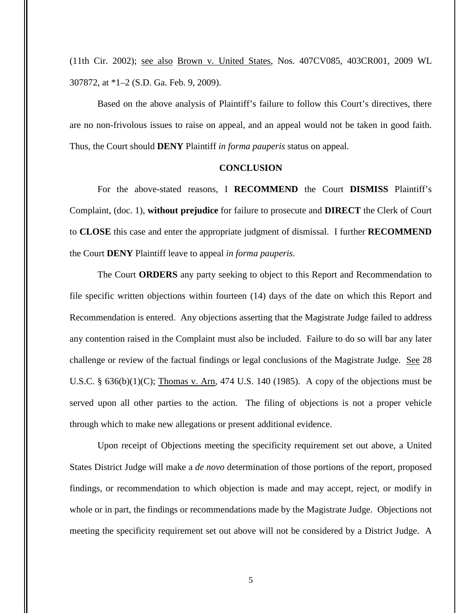(11th Cir. 2002); see also Brown v. United States, Nos. 407CV085, 403CR001, 2009 WL 307872, at \*1–2 (S.D. Ga. Feb. 9, 2009).

Based on the above analysis of Plaintiff's failure to follow this Court's directives, there are no non-frivolous issues to raise on appeal, and an appeal would not be taken in good faith. Thus, the Court should **DENY** Plaintiff *in forma pauperis* status on appeal.

## **CONCLUSION**

For the above-stated reasons, I **RECOMMEND** the Court **DISMISS** Plaintiff's Complaint, (doc. 1), **without prejudice** for failure to prosecute and **DIRECT** the Clerk of Court to **CLOSE** this case and enter the appropriate judgment of dismissal. I further **RECOMMEND** the Court **DENY** Plaintiff leave to appeal *in forma pauperis*.

The Court **ORDERS** any party seeking to object to this Report and Recommendation to file specific written objections within fourteen (14) days of the date on which this Report and Recommendation is entered. Any objections asserting that the Magistrate Judge failed to address any contention raised in the Complaint must also be included. Failure to do so will bar any later challenge or review of the factual findings or legal conclusions of the Magistrate Judge. See 28 U.S.C.  $\S$  636(b)(1)(C); Thomas v. Arn, 474 U.S. 140 (1985). A copy of the objections must be served upon all other parties to the action. The filing of objections is not a proper vehicle through which to make new allegations or present additional evidence.

Upon receipt of Objections meeting the specificity requirement set out above, a United States District Judge will make a *de novo* determination of those portions of the report, proposed findings, or recommendation to which objection is made and may accept, reject, or modify in whole or in part, the findings or recommendations made by the Magistrate Judge. Objections not meeting the specificity requirement set out above will not be considered by a District Judge. A